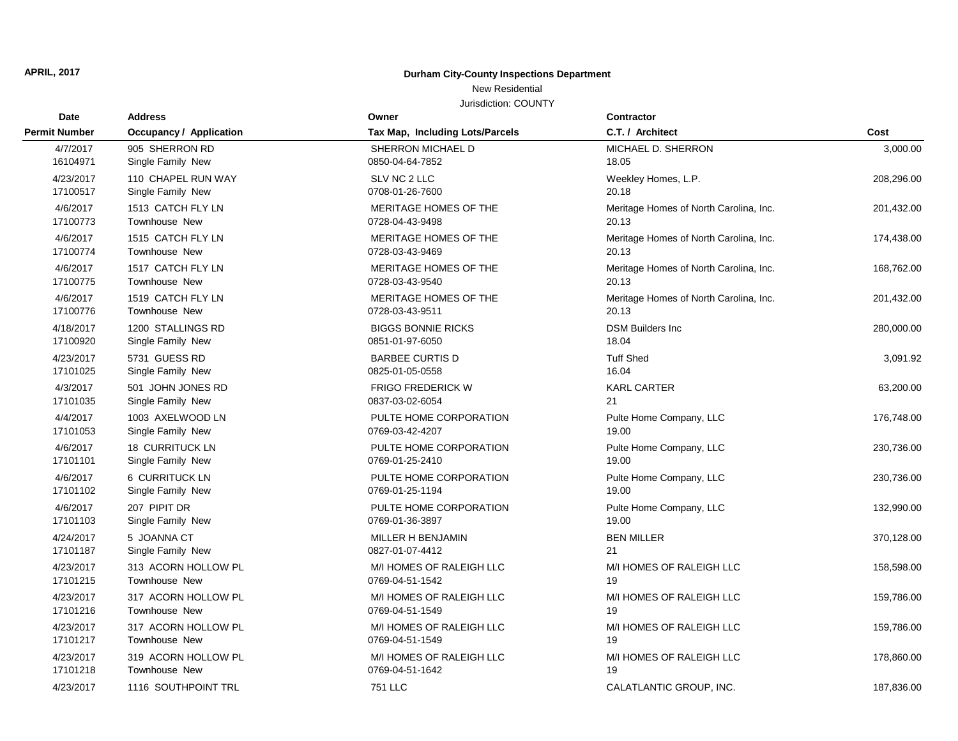## **APRIL, 2017 Durham City-County Inspections Department**

## New Residential

Jurisdiction: COUNTY

| Date<br><b>Permit Number</b> | <b>Address</b><br><b>Occupancy / Application</b> | Owner<br>Tax Map, Including Lots/Parcels    | <b>Contractor</b>                               | Cost       |
|------------------------------|--------------------------------------------------|---------------------------------------------|-------------------------------------------------|------------|
|                              |                                                  |                                             | C.T. / Architect                                |            |
| 4/7/2017                     | 905 SHERRON RD                                   | SHERRON MICHAEL D                           | MICHAEL D. SHERRON                              | 3,000.00   |
| 16104971                     | Single Family New                                | 0850-04-64-7852                             | 18.05                                           |            |
| 4/23/2017                    | 110 CHAPEL RUN WAY                               | SLV NC 2 LLC                                | Weekley Homes, L.P.                             | 208,296.00 |
| 17100517                     | Single Family New                                | 0708-01-26-7600                             | 20.18                                           |            |
| 4/6/2017                     | 1513 CATCH FLY LN                                | MERITAGE HOMES OF THE                       | Meritage Homes of North Carolina, Inc.          | 201,432.00 |
| 17100773                     | Townhouse New                                    | 0728-04-43-9498                             | 20.13                                           |            |
| 4/6/2017                     | 1515 CATCH FLY LN                                | MERITAGE HOMES OF THE                       | Meritage Homes of North Carolina, Inc.          | 174,438.00 |
| 17100774                     | <b>Townhouse New</b>                             | 0728-03-43-9469                             | 20.13                                           |            |
| 4/6/2017                     | 1517 CATCH FLY LN                                | MERITAGE HOMES OF THE                       | Meritage Homes of North Carolina, Inc.          | 168,762.00 |
| 17100775                     | <b>Townhouse New</b>                             | 0728-03-43-9540                             | 20.13                                           |            |
| 4/6/2017<br>17100776         | 1519 CATCH FLY LN<br><b>Townhouse New</b>        | MERITAGE HOMES OF THE<br>0728-03-43-9511    | Meritage Homes of North Carolina, Inc.<br>20.13 | 201,432.00 |
| 4/18/2017                    | 1200 STALLINGS RD                                | <b>BIGGS BONNIE RICKS</b>                   | <b>DSM Builders Inc</b>                         | 280,000.00 |
| 17100920                     | Single Family New                                | 0851-01-97-6050                             | 18.04                                           |            |
| 4/23/2017                    | 5731 GUESS RD                                    | <b>BARBEE CURTIS D</b>                      | <b>Tuff Shed</b>                                | 3,091.92   |
| 17101025                     | Single Family New                                | 0825-01-05-0558                             | 16.04                                           |            |
| 4/3/2017                     | 501 JOHN JONES RD                                | <b>FRIGO FREDERICK W</b>                    | <b>KARL CARTER</b>                              | 63,200.00  |
| 17101035                     | Single Family New                                | 0837-03-02-6054                             | 21                                              |            |
| 4/4/2017                     | 1003 AXELWOOD LN                                 | PULTE HOME CORPORATION                      | Pulte Home Company, LLC                         | 176,748.00 |
| 17101053                     | Single Family New                                | 0769-03-42-4207                             | 19.00                                           |            |
| 4/6/2017                     | <b>18 CURRITUCK LN</b>                           | PULTE HOME CORPORATION                      | Pulte Home Company, LLC                         | 230,736.00 |
| 17101101                     | Single Family New                                | 0769-01-25-2410                             | 19.00                                           |            |
| 4/6/2017                     | 6 CURRITUCK LN                                   | PULTE HOME CORPORATION                      | Pulte Home Company, LLC                         | 230,736.00 |
| 17101102                     | Single Family New                                | 0769-01-25-1194                             | 19.00                                           |            |
| 4/6/2017                     | 207 PIPIT DR                                     | PULTE HOME CORPORATION                      | Pulte Home Company, LLC                         | 132,990.00 |
| 17101103                     | Single Family New                                | 0769-01-36-3897                             | 19.00                                           |            |
| 4/24/2017                    | 5 JOANNA CT                                      | MILLER H BENJAMIN                           | <b>BEN MILLER</b>                               | 370,128.00 |
| 17101187                     | Single Family New                                | 0827-01-07-4412                             | 21                                              |            |
| 4/23/2017                    | 313 ACORN HOLLOW PL                              | M/I HOMES OF RALEIGH LLC                    | M/I HOMES OF RALEIGH LLC                        | 158,598.00 |
| 17101215                     | Townhouse New                                    | 0769-04-51-1542                             | 19                                              |            |
| 4/23/2017<br>17101216        | 317 ACORN HOLLOW PL<br>Townhouse New             | M/I HOMES OF RALEIGH LLC                    | M/I HOMES OF RALEIGH LLC<br>19                  | 159,786.00 |
|                              |                                                  | 0769-04-51-1549                             |                                                 |            |
| 4/23/2017<br>17101217        | 317 ACORN HOLLOW PL<br>Townhouse New             | M/I HOMES OF RALEIGH LLC<br>0769-04-51-1549 | M/I HOMES OF RALEIGH LLC<br>19                  | 159,786.00 |
|                              |                                                  |                                             |                                                 |            |
| 4/23/2017<br>17101218        | 319 ACORN HOLLOW PL<br>Townhouse New             | M/I HOMES OF RALEIGH LLC<br>0769-04-51-1642 | M/I HOMES OF RALEIGH LLC<br>19                  | 178,860.00 |
|                              | 1116 SOUTHPOINT TRL                              | <b>751 LLC</b>                              |                                                 |            |
| 4/23/2017                    |                                                  |                                             | CALATLANTIC GROUP, INC.                         | 187,836.00 |